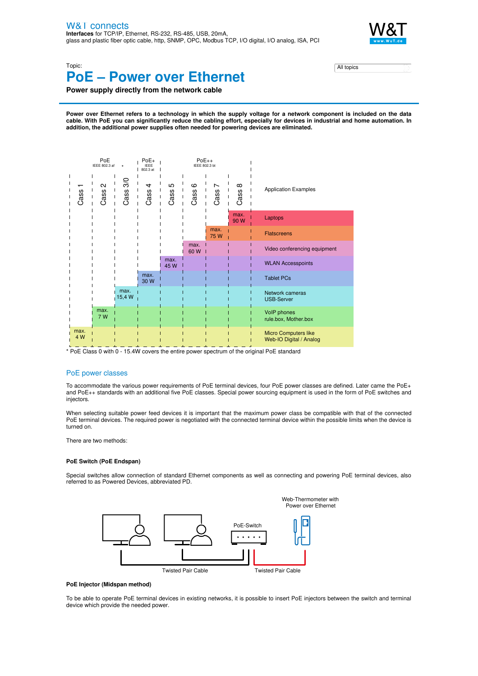

Topic:

# **PoE – Power over Ethernet**

| المملسات<br>topics |  |
|--------------------|--|
| All topics         |  |

**Power supply directly from the network cable**

Power over Ethernet refers to a technology in which the supply voltage for a network component is included on the data cable. With PoE you can significantly reduce the cabling effort, especially for devices in industrial and home automation. In **addition, the additional power supplies often needed for powering devices are eliminated.**



\* PoE Class 0 with 0 - 15.4W covers the entire power spectrum of the original PoE standard

## PoE power classes

To accommodate the various power requirements of PoE terminal devices, four PoE power classes are defined. Later came the PoE+ and PoE++ standards with an additional five PoE classes. Special power sourcing equipment is used in the form of PoE switches and injectors.

When selecting suitable power feed devices it is important that the maximum power class be compatible with that of the connected PoE terminal devices. The required power is negotiated with the connected terminal device within the possible limits when the device is turned on.

There are two methods:

### **PoE Switch (PoE Endspan)**

Special switches allow connection of standard Ethernet components as well as connecting and powering PoE terminal devices, also referred to as Powered Devices, abbreviated PD.



#### **PoE Injector (Midspan method)**

To be able to operate PoE terminal devices in existing networks, it is possible to insert PoE injectors between the switch and terminal device which provide the needed power.